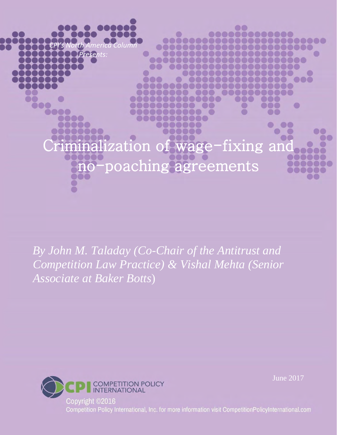alization of wage-fixing and poaching agreements

0000

*By John M. Taladay (Co-Chair of the Antitrust and Competition Law Practice) & Vishal Mehta (Senior Associate at Baker Botts*)



*CPI's North America Column Presents:*

000

000

June 2017

O

 $\circ$ 888

**LU** 

O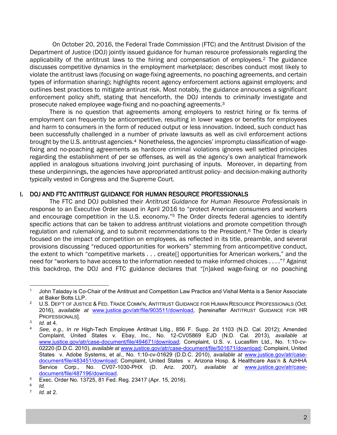<sup>1</sup>On October 20, 2016, the Federal Trade Commission (FTC) and the Antitrust Division of the Department of Justice (DOJ) jointly issued guidance for human resource professionals regarding the applicability of the antitrust laws to the hiring and compensation of employees.<sup>2</sup> The guidance discusses competitive dynamics in the employment marketplace; describes conduct most likely to violate the antitrust laws (focusing on wage-fixing agreements, no poaching agreements, and certain types of information sharing); highlights recent agency enforcement actions against employers; and outlines best practices to mitigate antirust risk. Most notably, the guidance announces a significant enforcement policy shift, stating that henceforth, the DOJ intends to *criminally* investigate and prosecute naked employee wage-fixing and no-poaching agreements.<sup>3</sup>

There is no question that agreements among employers to restrict hiring or fix terms of employment can frequently be anticompetitive, resulting in lower wages or benefits for employees and harm to consumers in the form of reduced output or less innovation. Indeed, such conduct has been successfully challenged in a number of private lawsuits as well as civil enforcement actions brought by the U.S. antitrust agencies.<sup>4</sup> Nonetheless, the agencies' impromptu classification of wagefixing and no-poaching agreements as hardcore criminal violations ignores well settled principles regarding the establishment of per se offenses, as well as the agency's own analytical framework applied in analogous situations involving joint purchasing of inputs. Moreover, in departing from these underpinnings, the agencies have appropriated antitrust policy- and decision-making authority typically vested in Congress and the Supreme Court.

#### I. DOJ AND FTC ANTITRUST GUIDANCE FOR HUMAN RESOURCE PROFESSIONALS

The FTC and DOJ published their *Antitrust Guidance for Human Resource Professionals* in response to an Executive Order issued in April 2016 to "protect American consumers and workers and encourage competition in the U.S. economy."<sup>5</sup> The Order directs federal agencies to identify specific actions that can be taken to address antitrust violations and promote competition through regulation and rulemaking, and to submit recommendations to the President.<sup>6</sup> The Order is clearly focused on the impact of competition on employees, as reflected in its title, preamble, and several provisions discussing "reduced opportunities for workers" stemming from anticompetitive conduct, the extent to which "competitive markets . . . create[] opportunities for American workers," and the need for "workers to have access to the information needed to make informed choices . . . ."<sup>7</sup> Against this backdrop, the DOJ and FTC guidance declares that "[n]aked wage-fixing or no poaching

<sup>1</sup> John Taladay is Co-Chair of the Antitrust and Competition Law Practice and Vishal Mehta is a Senior Associate at Baker Botts LLP.

<sup>&</sup>lt;sup>2</sup> U.S. DEP'T OF JUSTICE & FED. TRADE COMM'N, ANTITRUST GUIDANCE FOR HUMAN RESOURCE PROFESSIONALS (Oct. 2016), *available at* www.justice.gov/atr/file/903511/download, [hereinafter ANTITRUST GUIDANCE FOR HR PROFESSIONALS].

<sup>3</sup> *Id.* at 4.

<sup>4</sup> *See, e.g., In re* High-Tech Employee Antitrust Litig., 856 F. Supp. 2d 1103 (N.D. Cal. 2012); Amended Complaint, United States v. Ebay, Inc., No. 12-CV05869 EJD (N.D. Cal. 2013), *available at* www.justice.gov/atr/case-document/file/494671/download; Complaint, U.S. v. Lucasfilm Ltd., No. 1:10-cv-02220 (D.D.C. 2010), *available at* www.justice.gov/atr/case-document/file/501671/download; Complaint, United States v. Adobe Systems, et al., No. 1:10-cv-01629 (D.D.C. 2010), *available at www.justice.gov/atr/case*document/file/483451/download; Complaint, United States v. Arizona Hosp. & Healthcare Ass'n & AzHHA Service Corp., No. CV07-1030-PHX (D. Ariz. 2007), *available at* www.justice.gov/atr/casedocument/file/487196/download.

<sup>5</sup> Exec. Order No. 13725, 81 Fed. Reg. 23417 (Apr. 15, 2016).

<sup>6</sup> *Id.*

<sup>7</sup> *Id.* at 2.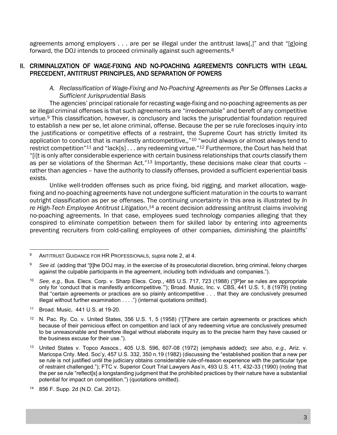agreements among employers . . . are per se illegal under the antitrust laws[,]" and that "[g]oing forward, the DOJ intends to proceed criminally against such agreements.<sup>8</sup>

# II. CRIMINALIZATION OF WAGE-FIXING AND NO-POACHING AGREEMENTS CONFLICTS WITH LEGAL PRECEDENT, ANTITRUST PRINCIPLES, AND SEPARATION OF POWERS

## *A. Reclassification of Wage-Fixing and No-Poaching Agreements as Per Se Offenses Lacks a Sufficient Jurisprudential Basis*

The agencies' principal rationale for recasting wage-fixing and no-poaching agreements as per se illegal criminal offenses is that such agreements are "irredeemable" and bereft of any competitive virtue.<sup>9</sup> This classification, however, is conclusory and lacks the jurisprudential foundation required to establish a new per se, let alone criminal, offense. Because the per se rule forecloses inquiry into the justifications or competitive effects of a restraint, the Supreme Court has strictly limited its application to conduct that is manifestly anticompetitive,,"<sup>10</sup> "would always or almost always tend to restrict competition<sup>"11</sup> and "lack[s] . . . any redeeming virtue."<sup>12</sup> Furthermore, the Court has held that "[i]t is only after considerable experience with certain business relationships that *courts* classify them as per se violations of the Sherman Act."<sup>13</sup> Importantly, these decisions make clear that courts rather than agencies – have the authority to classify offenses, provided a sufficient experiential basis exists.

Unlike well-trodden offenses such as price fixing, bid rigging, and market allocation, wagefixing and no-poaching agreements have not undergone sufficient maturation in the courts to warrant outright classification as per se offenses. The continuing uncertainty in this area is illustrated by *In re High-Tech Employee Antitrust Litigation*, <sup>14</sup> a recent decision addressing antitrust claims involving no-poaching agreements. In that case, employees sued technology companies alleging that they conspired to eliminate competition between them for skilled labor by entering into agreements preventing recruiters from cold-calling employees of other companies, diminishing the plaintiffs'

 $\overline{a}$ <sup>8</sup> ANTITRUST GUIDANCE FOR HR PROFESSIONALS, *supra* note 2, at 4.

<sup>&</sup>lt;sup>9</sup> See id. (adding that "[t]he DOJ may, in the exercise of its prosecutorial discretion, bring criminal, felony charges against the culpable participants in the agreement, including both individuals and companies.").

<sup>10</sup> *See, e.g.,* Bus. Elecs. Corp. v. Sharp Elecs. Corp., 485 U.S. 717, 723 (1988) ("[P]er se rules are appropriate only for 'conduct that is manifestly anticompetitive.'"); Broad. Music, Inc. v. CBS, 441 U.S. 1, 8 (1979) (noting that "certain agreements or practices are so plainly anticompetitive . . . that they are conclusively presumed illegal without further examination . . . .") (internal quotations omitted).

<sup>11</sup> Broad. Music, 441 U.S. at 19-20.

<sup>&</sup>lt;sup>12</sup> N. Pac. Ry. Co. v. United States, 356 U.S. 1, 5 (1958) ("[T]here are certain agreements or practices which because of their pernicious effect on competition and lack of any redeeming virtue are conclusively presumed to be unreasonable and therefore illegal without elaborate inquiry as to the precise harm they have caused or the business excuse for their use.").

<sup>13</sup> United States v. Topco Assocs*.*, 405 U.S. 596, 607-08 (1972) (emphasis added); *see also, e.g.,* Ariz. v. Maricopa Cnty. Med. Soc'y, 457 U.S. 332, 350 n.19 (1982) (discussing the "established position that a new per se rule is not justified until the judiciary obtains considerable rule-of-reason experience with the particular type of restraint challenged."); FTC v. Superior Court Trial Lawyers Ass'n, 493 U.S. 411, 432-33 (1990) (noting that the per se rule "reflect[s] a longstanding judgment that the prohibited practices by their nature have a substantial potential for impact on competition.") (quotations omitted).

<sup>856</sup> F. Supp. 2d (N.D. Cal. 2012).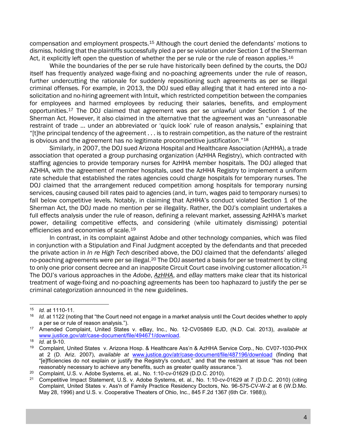compensation and employment prospects.<sup>15</sup> Although the court denied the defendants' motions to dismiss, holding that the plaintiffs successfully pled a per se violation under Section 1 of the Sherman Act, it explicitly left open the question of whether the per se rule or the rule of reason applies.<sup>16</sup>

While the boundaries of the per se rule have historically been defined by the courts, the DOJ itself has frequently analyzed wage-fixing and no-poaching agreements under the rule of reason, further undercutting the rationale for suddenly repositioning such agreements as per se illegal criminal offenses. For example, in 2013, the DOJ sued eBay alleging that it had entered into a nosolicitation and no-hiring agreement with Intuit, which restricted competition between the companies for employees and harmed employees by reducing their salaries, benefits, and employment opportunities.<sup>17</sup> The DOJ claimed that agreement was per se unlawful under Section 1 of the Sherman Act. However, it also claimed in the alternative that the agreement was an "unreasonable restraint of trade ... under an abbreviated or 'quick look' rule of reason analysis," explaining that "[t]he principal tendency of the agreement . . . is to restrain competition, as the nature of the restraint is obvious and the agreement has no legitimate procompetitive justification."<sup>18</sup>

Similarly, in 2007, the DOJ sued Arizona Hospital and Healthcare Association (AzHHA), a trade association that operated a group purchasing organization (AzHHA Registry), which contracted with staffing agencies to provide temporary nurses for AzHHA member hospitals. The DOJ alleged that AZHHA, with the agreement of member hospitals, used the AzHHA Registry to implement a uniform rate schedule that established the rates agencies could charge hospitals for temporary nurses. The DOJ claimed that the arrangement reduced competition among hospitals for temporary nursing services, causing caused bill rates paid to agencies (and, in turn, wages paid to temporary nurses) to fall below competitive levels. Notably, in claiming that AzHHA's conduct violated Section 1 of the Sherman Act, the DOJ made no mention per se illegality. Rather, the DOJ's complaint undertakes a full effects analysis under the rule of reason, defining a relevant market, assessing AzHHA's market power, detailing competitive effects, and considering (while ultimately dismissing) potential efficiencies and economies of scale.<sup>19</sup>

In contrast, in its complaint against Adobe and other technology companies, which was filed in conjunction with a Stipulation and Final Judgment accepted by the defendants and that preceded the private action in *In re High Tech* described above, the DOJ claimed that the defendants' alleged no-poaching agreements were per se illegal.<sup>20</sup> The DOJ asserted a basis for per se treatment by citing to only one prior consent decree and an inapposite Circuit Court case involving customer allocation.<sup>21</sup> The DOJ's various approaches in the *Adobe*, *AzHHA*, and *eBay* matters make clear that its historical treatment of wage-fixing and no-poaching agreements has been too haphazard to justify the per se criminal categorization announced in the new guidelines.

 $\overline{a}$ 

<sup>15</sup> *Id.* at 1110-11.

<sup>16</sup> *Id.* at 1122 (noting that "the Court need not engage in a market analysis until the Court decides whether to apply a per se or rule of reason analysis.").

<sup>17</sup> Amended Complaint, United States v. eBay, Inc., No. 12-CV05869 EJD, (N.D. Cal. 2013), *available at* www.justice.gov/atr/case-document/file/494671/download.

<sup>18</sup> *Id.* at 9-10.

<sup>19</sup> Complaint, United States v. Arizona Hosp. & Healthcare Ass'n & AzHHA Service Corp., No. CV07-1030-PHX at 2 (D. Ariz. 2007), *available at* www.justice.gov/atr/case-document/file/487196/download (finding that "[e]fficiencies do not explain or justify the Registry's conduct," and that the restraint at issue "has not been reasonably necessary to achieve any benefits, such as greater quality assurance.").

<sup>20</sup> Complaint, U.S. v. Adobe Systems, et. al., No. 1:10-cv-01629 (D.D.C. 2010).

<sup>21</sup> Competitive Impact Statement, U.S. v. Adobe Systems, et. al., No. 1:10-cv-01629 at 7 (D.D.C. 2010) (citing Complaint, United States v. Ass'n of Family Practice Residency Doctors, No. 96-575-CV-W-2 at 6 (W.D.Mo. May 28, 1996) and U.S. v. Cooperative Theaters of Ohio, Inc., 845 F.2d 1367 (6th Cir. 1988)).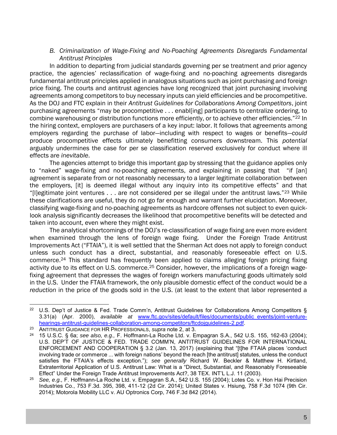## *B. Criminalization of Wage-Fixing and No-Poaching Agreements Disregards Fundamental Antitrust Principles*

In addition to departing from judicial standards governing per se treatment and prior agency practice, the agencies' reclassification of wage-fixing and no-poaching agreements disregards fundamental antitrust principles applied in analogous situations such as joint purchasing and foreign price fixing. The courts and antitrust agencies have long recognized that joint purchasing involving agreements among competitors to buy necessary inputs can yield efficiencies and be procompetitive. As the DOJ and FTC explain in their *Antitrust Guidelines for Collaborations Among Competitors*, joint purchasing agreements "may be procompetitive . . . enabl[ing] participants to centralize ordering, to combine warehousing or distribution functions more efficiently, or to achieve other efficiencies."<sup>22</sup> In the hiring context, employers are purchasers of a key input: labor. It follows that agreements among employers regarding the purchase of labor—including with respect to wages or benefits—*could* produce procompetitive effects ultimately benefitting consumers downstream. This *potential* arguably undermines the case for per se classification reserved exclusively for conduct where ill effects are *inevitable*.

The agencies attempt to bridge this important gap by stressing that the guidance applies only to "naked" wage-fixing and no-poaching agreements, and explaining in passing that "if [an] agreement is separate from or not reasonably necessary to a larger legitimate collaboration between the employers, [it] is deemed illegal without any inquiry into its competitive effects" and that "[l]egitimate joint ventures  $\dots$  are not considered per se illegal under the antitrust laws."<sup>23</sup> While these clarifications are useful, they do not go far enough and warrant further elucidation. Moreover, classifying wage-fixing and no-poaching agreements as hardcore offenses not subject to even quicklook analysis significantly decreases the likelihood that procompetitive benefits will be detected and taken into account, even where they might exist.

The analytical shortcomings of the DOJ's re-classification of wage fixing are even more evident when examined through the lens of foreign wage fixing. Under the Foreign Trade Antitrust Improvements Act ("FTAIA"), it is well settled that the Sherman Act does not apply to foreign conduct unless such conduct has a direct, substantial, and reasonably foreseeable effect on U.S. commerce.<sup>24</sup> This standard has frequently been applied to claims alleging foreign pricing fixing activity due to its effect on U.S. commerce.<sup>25</sup> Consider, however, the implications of a foreign wagefixing agreement that depresses the wages of foreign workers manufacturing goods ultimately sold in the U.S. Under the FTAIA framework, the only plausible domestic effect of the conduct would be a *reduction* in the price of the goods sold in the U.S. (at least to the extent that labor represented a

 $\overline{a}$ 

<sup>&</sup>lt;sup>22</sup> U.S. Dep't of Justice & Fed. Trade Comm'n, Antitrust Guidelines for Collaborations Among Competitors § 3.31(a) (Apr. 2000), *available at* www.ftc.gov/sites/default/files/documents/public\_events/joint-venturehearings-antitrust-guidelines-collaboration-among-competitors/ftcdojguidelines-2.pdf.

<sup>23</sup> ANTITRUST GUIDANCE FOR HR PROFESSIONALS, *supra* note 2, at 3.

<sup>24</sup> 15 U.S.C. § 6a; *see also, e.g.,* F. Hoffmann-La Roche Ltd. v. Empagran S.A., 542 U.S. 155, 162-63 (2004); U.S. DEP'T OF JUSTICE & FED. TRADE COMM'N, ANTITRUST GUIDELINES FOR INTERNATIONAL ENFORCEMENT AND COOPERATION § 3.2 (Jan. 13, 2017) (explaining that "[t]he FTAIA places 'conduct involving trade or commerce ... with foreign nations' beyond the reach [the antitrust] statutes, unless the conduct satisfies the FTAIA's effects exception."); *see generally* Richard W. Beckler & Matthew H. Kirtland, Extraterritorial Application of U.S. Antitrust Law: What is a "Direct, Substantial, and Reasonably Foreseeable Effect" Under the Foreign Trade Antitrust Improvements Act?, 38 TEX. INT'L L.J. 11 (2003).

<sup>25</sup> *See, e.g.,* F. Hoffmann-La Roche Ltd. v. Empagran S.A., 542 U.S. 155 (2004); Lotes Co. v. Hon Hai Precision Industries Co., 753 F.3d. 395, 398, 411-12 (2d Cir. 2014); United States v. Hsiung, 758 F.3d 1074 (9th Cir. 2014); Motorola Mobility LLC v. AU Optronics Corp, 746 F.3d 842 (2014).